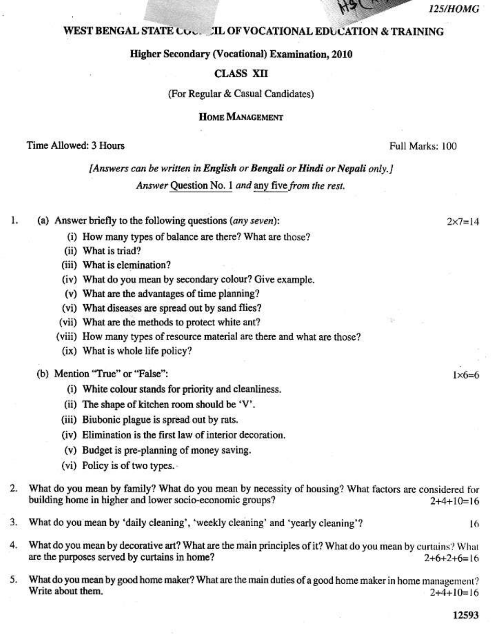#### *125/HOMG*

 $2x7=14$ 

 $1\times6=6$ 

# **WEST BENGAL STATE CO. . . . TL OF VOCATIONAL EDUCATION & TRAINING**

### **Higher Secondary (Vocational) Examination, 2010**

### **CLASS XII**

#### (For Regular & Casual Candidates)

# **HOME MANAGEMENT**

# Time Allowed: 3 Hours

Full Marks: 100

# [Answers can be written in English or Bengali or Hindi or Nepali only.] Answer Question No. 1 and any five from the rest.

#### ı. (a) Answer briefly to the following questions (any seven):

- (i) How many types of balance are there? What are those?
- (ii) What is triad?
- (iii) What is elemination?
- (iv) What do you mean by secondary colour? Give example.
- (v) What are the advantages of time planning?
- (vi) What diseases are spread out by sand flies?
- (vii) What are the methods to protect white ant?
- (viii) How many types of resource material are there and what are those?
- (ix) What is whole life policy?

## (b) Mention "True" or "False":

- (i) White colour stands for priority and cleanliness.
- (ii) The shape of kitchen room should be 'V'.
- (iii) Biubonic plague is spread out by rats.
- (iv) Elimination is the first law of interior decoration.
- (v) Budget is pre-planning of money saving.
- (vi) Policy is of two types.
- What do you mean by family? What do you mean by necessity of housing? What factors are considered for  $2.$ building home in higher and lower socio-economic groups?  $2+4+10=16$
- 3. What do you mean by 'daily cleaning', 'weekly cleaning' and 'yearly cleaning'?
- $4.$ What do you mean by decorative art? What are the main principles of it? What do you mean by curtains? What are the purposes served by curtains in home?  $2+6+2+6=16$
- What do you mean by good home maker? What are the main duties of a good home maker in home management? 5. Write about them.  $2+4+10=16$

16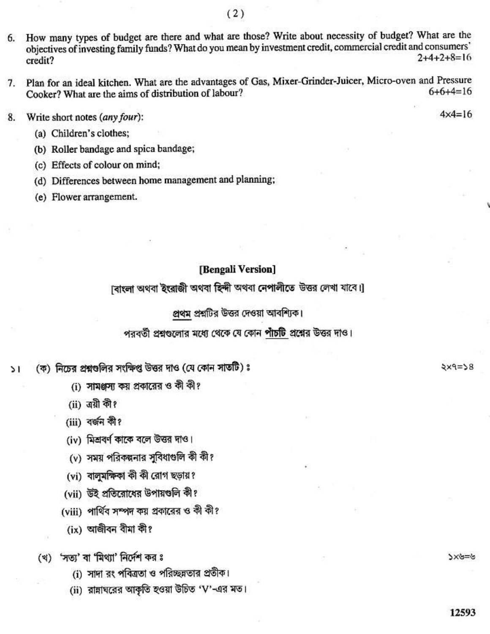- How many types of budget are there and what are those? Write about necessity of budget? What are the 6. objectives of investing family funds? What do you mean by investment credit, commercial credit and consumers'  $2+4+2+8=16$ credit?
- Plan for an ideal kitchen. What are the advantages of Gas, Mixer-Grinder-Juicer, Micro-oven and Pressure 7.  $6+6+4=16$ Cooker? What are the aims of distribution of labour?
- 8. Write short notes (any four):
	- (a) Children's clothes;
	- (b) Roller bandage and spica bandage;
	- (c) Effects of colour on mind;
	- (d) Differences between home management and planning;
	- (e) Flower arrangement.

# [Bengali Version]

াবাংলা অথবা ইংরাজী অথবা হিন্দী অথবা নেপালীতে উত্তর লেখা যাবে।।

প্রথম প্রশ্নটির উত্তর দেওয়া আবশ্যিক।

পরবর্তী প্রশ্নগুলোর মধ্যে থেকে যে কোন পাঁচটি প্রশ্নের উত্তর দাও।

(ক) নিচের প্রশ্নগুলির সংক্ষিপ্ত উত্তর দাও (যে কোন সাতটি) ঃ S I

- (i) সামঞ্জস্য কয় প্রকারের ও কী কী?
- $(ii)$  এয়ী কী?
- (iii) বৰ্জন কী?
- (iv) মিশ্রবর্ণ কাকে বলে উত্তর দাও।
- (v) সময় পরিকল্পনার সুবিধাগুলি কী কী?
- (vi) বালুমক্ষিকা কী কী রোগ ছড়ায়?
- (vii) উই প্রতিরোধের উপায়ণ্ডলি কী?
- (viii) পার্থিব সম্পদ কয় প্রকারের ও কী কী?
	- $(ix)$  আজীবন বীমা কী?
- (খ) 'সত্য' বা 'মিথ্যা' নির্দেশ কর ঃ
	- (i) সাদা রং পবিত্রতা ও পরিচ্ছন্নতার প্রতীক।
	- (ii) রান্নাঘরের আকৃতি হওয়া উচিত 'V'-এর মত।

 $82-9\times$ 

シニシメど

 $4 \times 4 = 16$